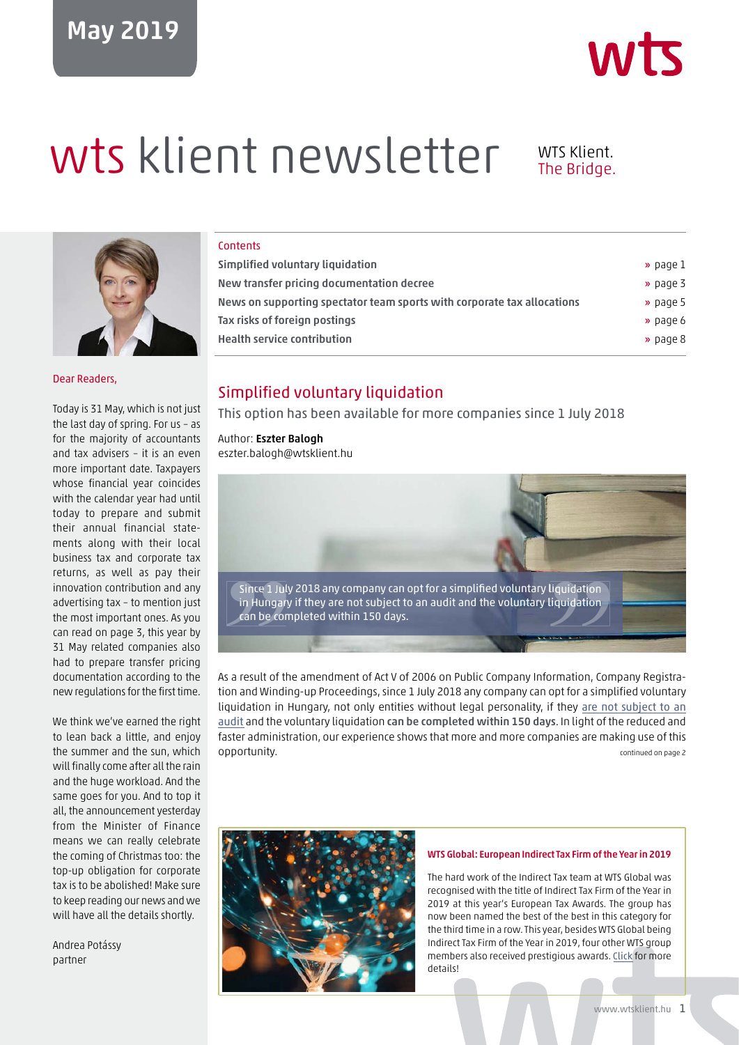# May 2019



# wts klient newsletter WTS Klient.



Dear Readers,

Today is 31 May, which is not just the last day of spring. For us – as for the majority of accountants and tax advisers – it is an even more important date. Taxpayers whose financial year coincides with the calendar year had until today to prepare and submit their annual financial statements along with their local business tax and corporate tax returns, as well as pay their innovation contribution and any advertising tax – to mention just the most important ones. As you can read on page 3, this year by 31 May related companies also had to prepare transfer pricing documentation according to the new regulations for the first time.

We think we've earned the right to lean back a little, and enjoy the summer and the sun, which will finally come after all the rain and the huge workload. And the same goes for you. And to top it all, the announcement yesterday from the Minister of Finance means we can really celebrate the coming of Christmas too: the top-up obligation for corporate tax is to be abolished! Make sure to keep reading our news and we will have all the details shortly.

Andrea Potássy partner

#### **Contents**

| Simplified voluntary liquidation                                        | » page 1             |
|-------------------------------------------------------------------------|----------------------|
| New transfer pricing documentation decree                               | $\rightarrow$ page 3 |
| News on supporting spectator team sports with corporate tax allocations | » page 5             |
| Tax risks of foreign postings                                           | » page 6             |
| <b>Health service contribution</b>                                      | » page 8             |
|                                                                         |                      |

## Simplified voluntary liquidation

This option has been available for more companies since 1 July 2018

#### Author: Eszter Balogh

eszter.balogh@wtsklient.hu



As a result of the amendment of Act V of 2006 on Public Company Information, Company Registration and Winding-up Proceedings, since 1 July 2018 any company can opt for a simplified voluntary liquidation in Hungary, not only entities without legal personality, if they are not subject to an audit and the voluntary liquidation can be completed within 150 days. In light of the reduced and faster administration, our experience shows that more and more companies are making use of this **opportunity.** Continued on page 2 and 2 and 2 and 2 and 2 and 2 and 2 and 2 and 2 and 2 and 2 and 2 and 2 and 2 and 2 and 2 and 2 and 2 and 2 and 2 and 2 and 2 and 2 and 2 and 2 and 2 and 2 and 2 and 2 and 2 and 2 and 2 a



#### WTS Global: European Indirect Tax Firm of the Year in 2019

The hard work of the Indirect Tax team at WTS Global was recognised with the title of Indirect Tax Firm of the Year in 2019 at this year's European Tax Awards. The group has now been named the best of the best in this category for the third time in a row. This year, besides WTS Global being Indirect Tax Firm of the Year in 2019, four other WTS group members also received [prestigious](https://wtsklient.hu/en/2019/05/21/indirect-tax-firm-of-the-year-in-2019/) awards. Click for more details!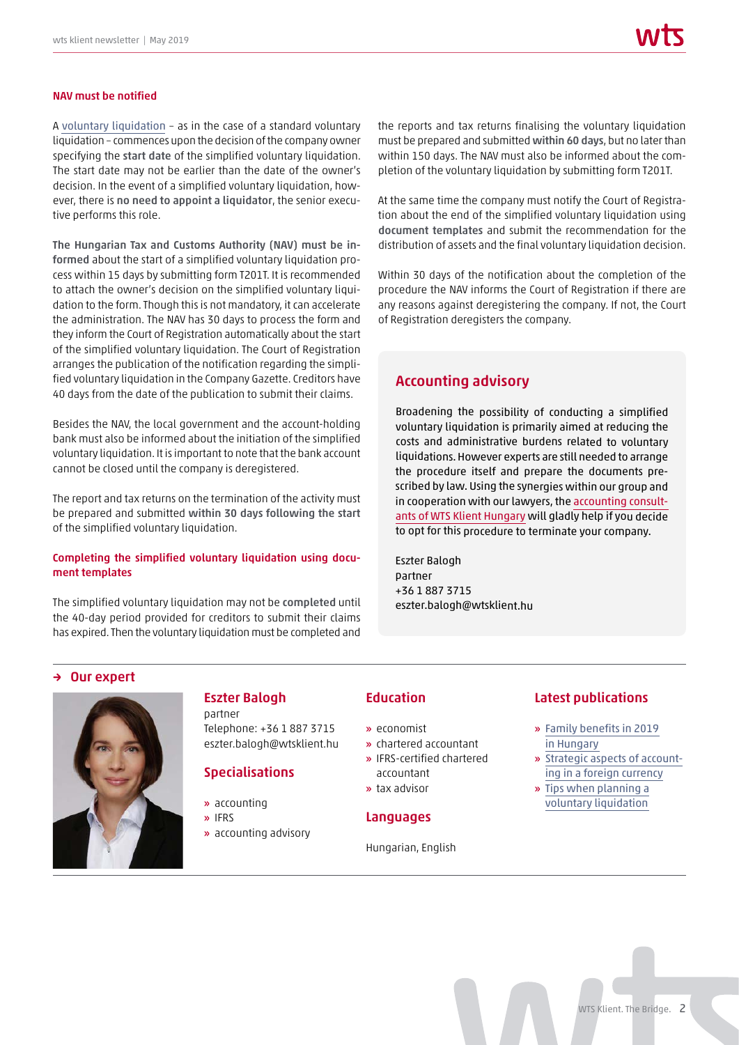#### NAV must be notified

A [voluntary liquidation](https://wtsklient.hu/en/2017/05/30/tips-planning-voluntary-liquidation/) – as in the case of a standard voluntary liquidation – commences upon the decision of the company owner specifying the start date of the simplified voluntary liquidation. The start date may not be earlier than the date of the owner's decision. In the event of a simplified voluntary liquidation, however, there is no need to appoint a liquidator, the senior executive performs this role.

The Hungarian Tax and Customs Authority (NAV) must be informed about the start of a simplified voluntary liquidation process within 15 days by submitting form T201T. It is recommended to attach the owner's decision on the simplified voluntary liquidation to the form. Though this is not mandatory, it can accelerate the administration. The NAV has 30 days to process the form and they inform the Court of Registration automatically about the start of the simplified voluntary liquidation. The Court of Registration arranges the publication of the notification regarding the simplified voluntary liquidation in the Company Gazette. Creditors have 40 days from the date of the publication to submit their claims.

Besides the NAV, the local government and the account-holding bank must also be informed about the initiation of the simplified voluntary liquidation. It is important to note that the bank account cannot be closed until the company is deregistered.

The report and tax returns on the termination of the activity must be prepared and submitted within 30 days following the start of the simplified voluntary liquidation.

#### Completing the simplified voluntary liquidation using document templates

The simplified voluntary liquidation may not be completed until the 40-day period provided for creditors to submit their claims has expired. Then the voluntary liquidation must be completed and

the reports and tax returns finalising the voluntary liquidation must be prepared and submitted within 60 days, but no later than within 150 days. The NAV must also be informed about the completion of the voluntary liquidation by submitting form T201T.

At the same time the company must notify the Court of Registration about the end of the simplified voluntary liquidation using document templates and submit the recommendation for the distribution of assets and the final voluntary liquidation decision.

Within 30 days of the notification about the completion of the procedure the NAV informs the Court of Registration if there are any reasons against deregistering the company. If not, the Court of Registration deregisters the company.

#### Accounting advisory

Broadening the possibility of conducting a simplified voluntary liquidation is primarily aimed at reducing the costs and administrative burdens related to voluntary liquidations. However experts are still needed to arrange the procedure itself and prepare the documents prescribed by law. Using the synergies within our group and in cooperation with our lawyers, the [accounting consult](https://wtsklient.hu/en/services/accounting-advisory/)[ants of WTS Klient Hungary](https://wtsklient.hu/en/services/accounting-advisory/) will gladly help if you decide to opt for this procedure to terminate your company.

Eszter Balogh partner +36 1 887 3715 eszter.balogh@wtsklient.hu

#### → Our expert



#### Eszter Balogh partner

Telephone: +36 1 887 3715 eszter.balogh@wtsklient.hu

#### Specialisations

- » accounting
- » IFRS
- » accounting advisory

#### Education

- » economist
- » chartered accountant
- » IFRS-certified chartered accountant
- » tax advisor

#### Languages

Hungarian, English

#### Latest publications

- » [Family benefits in 2019](https://wtsklient.hu/en/2019/03/05/family-benefits/)  in Hungary
- » [Strategic aspects of account](https://wtsklient.hu/en/2017/06/12/accounting-strategy/)ing in a foreign currency
- » [Tips when planning a](https://wtsklient.hu/en/2017/05/30/tips-planning-voluntary-liquidation/)  voluntary liquidation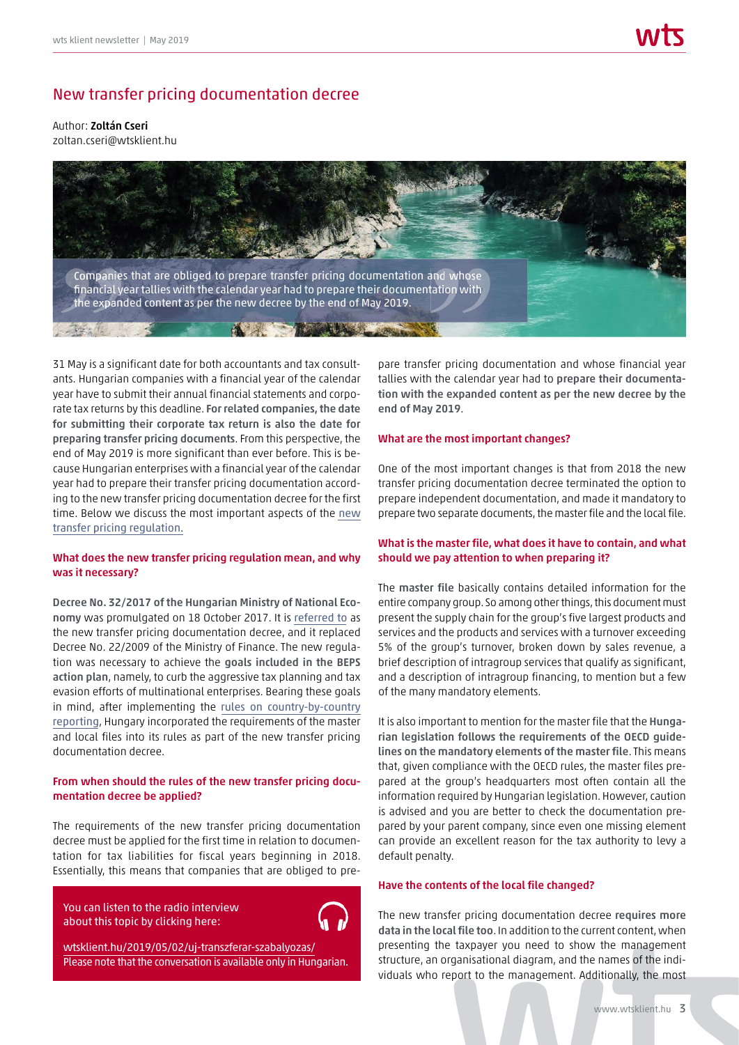## New transfer pricing documentation decree

#### Author: Zoltán Cseri zoltan.cseri@wtsklient.hu



31 May is a significant date for both accountants and tax consultants. Hungarian companies with a financial year of the calendar year have to submit their annual financial statements and corporate tax returns by this deadline. For related companies, the date for submitting their corporate tax return is also the date for preparing transfer pricing documents. From this perspective, the end of May 2019 is more significant than ever before. This is because Hungarian enterprises with a financial year of the calendar year had to prepare their transfer pricing documentation according to the new transfer pricing documentation decree for the first time. Below we discuss the most important aspects of the [new](https://wtsklient.hu/en/2018/02/13/transfer-pricing-documentation-decree/) [transfer pricing regulation](https://wtsklient.hu/en/2018/02/13/transfer-pricing-documentation-decree/).

#### What does the new transfer pricing regulation mean, and why was it necessary?

Decree No. 32/2017 of the Hungarian Ministry of National Economy was promulgated on 18 October 2017. It is [referred to](https://wtsklient.hu/en/2017/10/12/transfer-pricing-decree/) as the new transfer pricing documentation decree, and it replaced Decree No. 22/2009 of the Ministry of Finance. The new regulation was necessary to achieve the goals included in the BEPS action plan, namely, to curb the aggressive tax planning and tax evasion efforts of multinational enterprises. Bearing these goals in mind, after implementing the [rules on country-by-country](https://wtsklient.hu/en/2017/06/15/country-by-country-reporting/) [reporting](https://wtsklient.hu/en/2017/06/15/country-by-country-reporting/), Hungary incorporated the requirements of the master and local files into its rules as part of the new transfer pricing documentation decree.

#### From when should the rules of the new transfer pricing documentation decree be applied?

The requirements of the new transfer pricing documentation decree must be applied for the first time in relation to documentation for tax liabilities for fiscal years beginning in 2018. Essentially, this means that companies that are obliged to pre-

You can listen to the radio interview about this topic by clicking here:

wtsklient.hu/2019/05/02/uj-transzferar-szabalyozas/ [Please note that the conversation is available only in Hungarian.](https://wtsklient.hu/2019/05/02/uj-transzferar-szabalyozas/)

pare transfer pricing documentation and whose financial year tallies with the calendar year had to prepare their documentation with the expanded content as per the new decree by the end of May 2019.

#### What are the most important changes?

One of the most important changes is that from 2018 the new transfer pricing documentation decree terminated the option to prepare independent documentation, and made it mandatory to prepare two separate documents, the master file and the local file.

#### What is the master file, what does it have to contain, and what should we pay attention to when preparing it?

The master file basically contains detailed information for the entire company group. So among other things, this document must present the supply chain for the group's five largest products and services and the products and services with a turnover exceeding 5% of the group's turnover, broken down by sales revenue, a brief description of intragroup services that qualify as significant, and a description of intragroup financing, to mention but a few of the many mandatory elements.

It is also important to mention for the master file that the Hungarian legislation follows the requirements of the OECD guidelines on the mandatory elements of the master file. This means that, given compliance with the OECD rules, the master files prepared at the group's headquarters most often contain all the information required by Hungarian legislation. However, caution is advised and you are better to check the documentation prepared by your parent company, since even one missing element can provide an excellent reason for the tax authority to levy a default penalty.

#### Have the contents of the local file changed?

The new transfer pricing documentation decree requires more data in the local file too. In addition to the current content, when presenting the taxpayer you need to show the management structure, an organisational diagram, and the names of the individuals who report to the management. Additionally, the most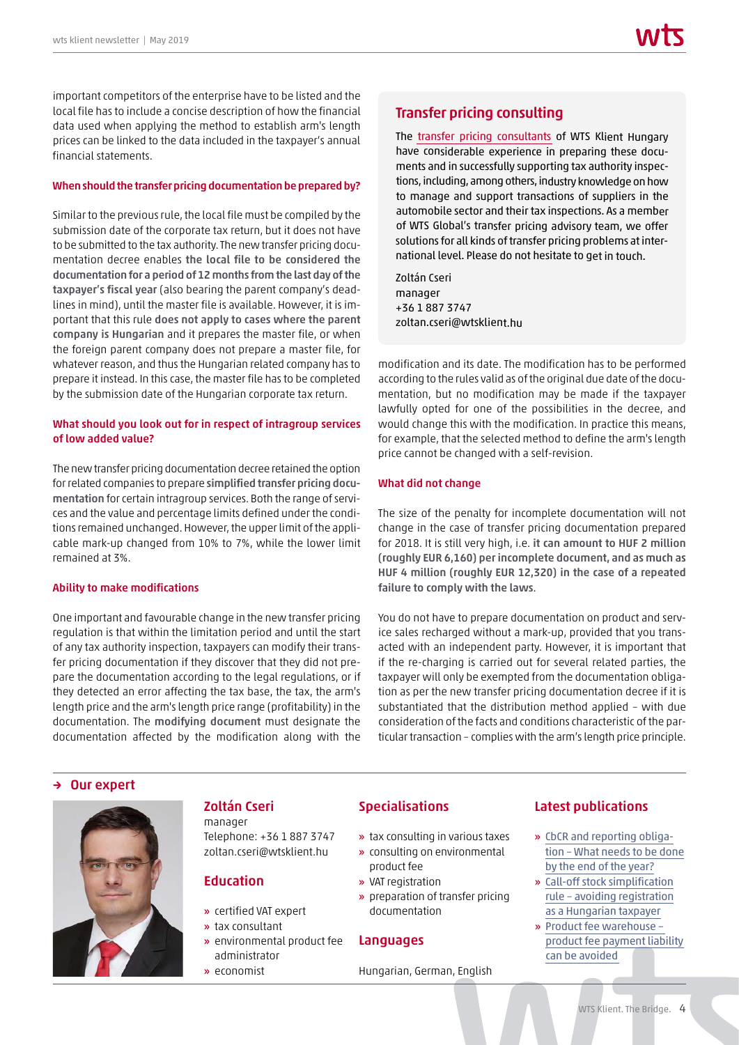important competitors of the enterprise have to be listed and the local file has to include a concise description of how the financial data used when applying the method to establish arm's length prices can be linked to the data included in the taxpayer's annual financial statements.

#### When should the transfer pricing documentation be prepared by?

Similar to the previous rule, the local file must be compiled by the submission date of the corporate tax return, but it does not have to be submitted to the tax authority. The new transfer pricing documentation decree enables the local file to be considered the documentation for a period of 12 months from the last day of the taxpayer's fiscal year (also bearing the parent company's deadlines in mind), until the master file is available. However, it is important that this rule does not apply to cases where the parent company is Hungarian and it prepares the master file, or when the foreign parent company does not prepare a master file, for whatever reason, and thus the Hungarian related company has to prepare it instead. In this case, the master file has to be completed by the submission date of the Hungarian corporate tax return.

#### What should you look out for in respect of intragroup services of low added value?

The new transfer pricing documentation decree retained the option for related companies to prepare simplified transfer pricing documentation for certain intragroup services. Both the range of services and the value and percentage limits defined under the conditions remained unchanged. However, the upper limit of the applicable mark-up changed from 10% to 7%, while the lower limit remained at 3%.

#### Ability to make modifications

One important and favourable change in the new transfer pricing regulation is that within the limitation period and until the start of any tax authority inspection, taxpayers can modify their transfer pricing documentation if they discover that they did not prepare the documentation according to the legal regulations, or if they detected an error affecting the tax base, the tax, the arm's length price and the arm's length price range (profitability) in the documentation. The modifying document must designate the documentation affected by the modification along with the

## Transfer pricing consulting

The [transfer pricing consultants](https://wtsklient.hu/en/services/transfer-pricing-consulting/) of WTS Klient Hungary have considerable experience in preparing these documents and in successfully supporting tax authority inspections, including, among others, industry knowledge on how to manage and support transactions of suppliers in the automobile sector and their tax inspections. As a member of WTS Global's transfer pricing advisory team, we offer solutions for all kinds of transfer pricing problems at international level. Please do not hesitate to get in touch.

Zoltán Cseri manager +36 1 887 3747 zoltan.cseri@wtsklient.hu

modification and its date. The modification has to be performed according to the rules valid as of the original due date of the documentation, but no modification may be made if the taxpayer lawfully opted for one of the possibilities in the decree, and would change this with the modification. In practice this means, for example, that the selected method to define the arm's length price cannot be changed with a self-revision.

#### What did not change

The size of the penalty for incomplete documentation will not change in the case of transfer pricing documentation prepared for 2018. It is still very high, i.e. it can amount to HUF 2 million (roughly EUR 6,160) per incomplete document, and as much as HUF 4 million (roughly EUR 12,320) in the case of a repeated failure to comply with the laws.

You do not have to prepare documentation on product and service sales recharged without a mark-up, provided that you transacted with an independent party. However, it is important that if the re-charging is carried out for several related parties, the taxpayer will only be exempted from the documentation obligation as per the new transfer pricing documentation decree if it is substantiated that the distribution method applied – with due consideration of the facts and conditions characteristic of the particular transaction – complies with the arm's length price principle.

#### → Our expert



## Zoltán Cseri

manager Telephone: +36 1 887 3747 zoltan.cseri@wtsklient.hu

#### Education

- » certified VAT expert
- » tax consultant
- » environmental product fee
- administrator
- » economist

#### Specialisations

- » tax consulting in various taxes
- » consulting on environmental
- product fee
- » VAT registration
- » preparation of transfer pricing documentation

#### Languages

Hungarian, German, English

#### Latest publications

- » CbCR and reporting obliga[tion – What needs to be done](https://wtsklient.hu/en/2018/11/13/cbcr-reporting-obligation/) by the end of the year?
- » Call-off stock simplification [rule – avoiding registration](https://wtsklient.hu/en/2018/09/25/call-off-stock-simplification-rule-avoiding-registration-as-a-hungarian-taxpayer/)  as a Hungarian taxpayer
- » Product fee warehouse [product fee payment liability](https://wtsklient.hu/en/2018/06/12/product-fee-warehouse/)  can be avoided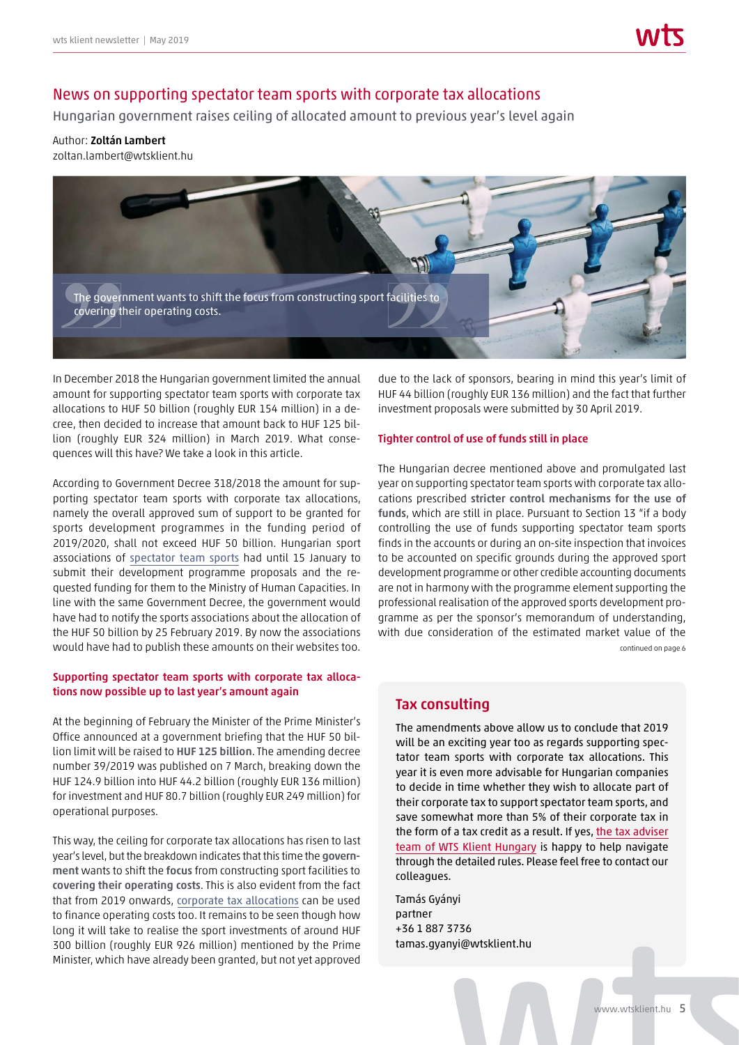## News on supporting spectator team sports with corporate tax allocations

Hungarian government raises ceiling of allocated amount to previous year's level again

#### Author: Zoltán Lambert

zoltan.lambert@wtsklient.hu



In December 2018 the Hungarian government limited the annual amount for supporting spectator team sports with corporate tax allocations to HUF 50 billion (roughly EUR 154 million) in a decree, then decided to increase that amount back to HUF 125 billion (roughly EUR 324 million) in March 2019. What consequences will this have? We take a look in this article.

According to Government Decree 318/2018 the amount for supporting spectator team sports with corporate tax allocations, namely the overall approved sum of support to be granted for sports development programmes in the funding period of 2019/2020, shall not exceed HUF 50 billion. Hungarian sport associations of [spectator team sports](https://wtsklient.hu/en/2018/10/02/spectator-team-sports/) had until 15 January to submit their development programme proposals and the requested funding for them to the Ministry of Human Capacities. In line with the same Government Decree, the government would have had to notify the sports associations about the allocation of the HUF 50 billion by 25 February 2019. By now the associations would have had to publish these amounts on their websites too.

#### Supporting spectator team sports with corporate tax allocations now possible up to last year's amount again

At the beginning of February the Minister of the Prime Minister's Office announced at a government briefing that the HUF 50 billion limit will be raised to HUF 125 billion. The amending decree number 39/2019 was published on 7 March, breaking down the HUF 124.9 billion into HUF 44.2 billion (roughly EUR 136 million) for investment and HUF 80.7 billion (roughly EUR 249 million) for operational purposes.

This way, the ceiling for corporate tax allocations has risen to last year's level, but the breakdown indicates that this time the government wants to shift the focus from constructing sport facilities to covering their operating costs. This is also evident from the fact that from 2019 onwards, [corporate tax allocations](https://wtsklient.hu/en/2016/12/16/significant-tax-benefits-tax-allocation/) can be used to finance operating costs too. It remains to be seen though how long it will take to realise the sport investments of around HUF 300 billion (roughly EUR 926 million) mentioned by the Prime Minister, which have already been granted, but not yet approved

due to the lack of sponsors, bearing in mind this year's limit of HUF 44 billion (roughly EUR 136 million) and the fact that further investment proposals were submitted by 30 April 2019.

#### Tighter control of use of funds still in place

The Hungarian decree mentioned above and promulgated last year on supporting spectator team sports with corporate tax allocations prescribed stricter control mechanisms for the use of funds, which are still in place. Pursuant to Section 13 "if a body controlling the use of funds supporting spectator team sports finds in the accounts or during an on-site inspection that invoices to be accounted on specific grounds during the approved sport development programme or other credible accounting documents are not in harmony with the programme element supporting the professional realisation of the approved sports development programme as per the sponsor's memorandum of understanding, with due consideration of the estimated market value of the continued on page 6

## Tax consulting

The amendments above allow us to conclude that 2019 will be an exciting year too as regards supporting spectator team sports with corporate tax allocations. This year it is even more advisable for Hungarian companies to decide in time whether they wish to allocate part of their corporate tax to support spectator team sports, and save somewhat more than 5% of their corporate tax in the form of a tax credit as a result. If yes, [the tax adviser](https://wtsklient.hu/en/services/tax-consulting/) [team of WTS Klient Hungary](https://wtsklient.hu/en/services/tax-consulting/) is happy to help navigate through the detailed rules. Please feel free to contact our colleagues.

Tamás Gyányi partner +36 1 887 3736 tamas.gyanyi@wtsklient.hu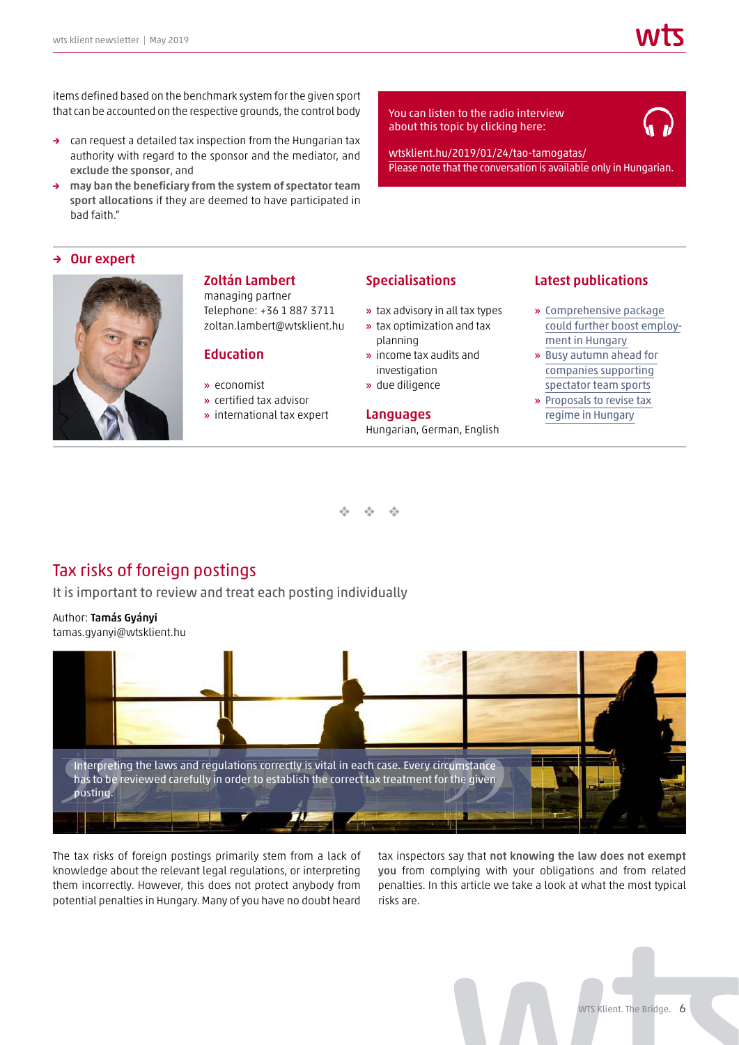items defined based on the benchmark system for the given sport that can be accounted on the respective grounds, the control body

- → can request a detailed tax inspection from the Hungarian tax authority with regard to the sponsor and the mediator, and exclude the sponsor, and
- → may ban the beneficiary from the system of spectator team sport allocations if they are deemed to have participated in bad faith."

## about this topic by clicking here:



wtsklient.hu/2019/01/24/tao-tamogatas/ [Please note that the conversation is available only in Hungarian.](https://wtsklient.hu/2019/01/24/tao-tamogatas/)

#### Our expert



#### Zoltán Lambert managing partner

Telephone: +36 1 887 3711 zoltan.lambert@wtsklient.hu

## Education

- » economist
- » certified tax advisor
- » international tax expert

#### Specialisations

- » tax advisory in all tax types
- » tax optimization and tax
- planning » income tax audits and investigation
- » due diligence

#### Languages

Hungarian, German, English

#### Latest publications

- » Comprehensive package [could further boost employ](https://wtsklient.hu/en/2019/04/02/employment-in-hungary/)ment in Hungary
- » [Busy autumn ahead for](https://wtsklient.hu/en/2018/10/02/spectator-team-sports/)  companies supporting spectator team sports
- » [Proposals to revise tax](https://wtsklient.hu/en/2018/07/03/tax-regime/)  regime in Hungary

 $\frac{d^2\phi}{d^2}$  .  $\frac{d^2\phi}{d^2}$  .  $\frac{1}{2}$ 

## Tax risks of foreign postings

It is important to review and treat each posting individually

## Author: Tamás Gyányi

tamas.gyanyi@wtsklient.hu



The tax risks of foreign postings primarily stem from a lack of knowledge about the relevant legal regulations, or interpreting them incorrectly. However, this does not protect anybody from potential penalties in Hungary. Many of you have no doubt heard

tax inspectors say that not knowing the law does not exempt you from complying with your obligations and from related penalties. In this article we take a look at what the most typical risks are.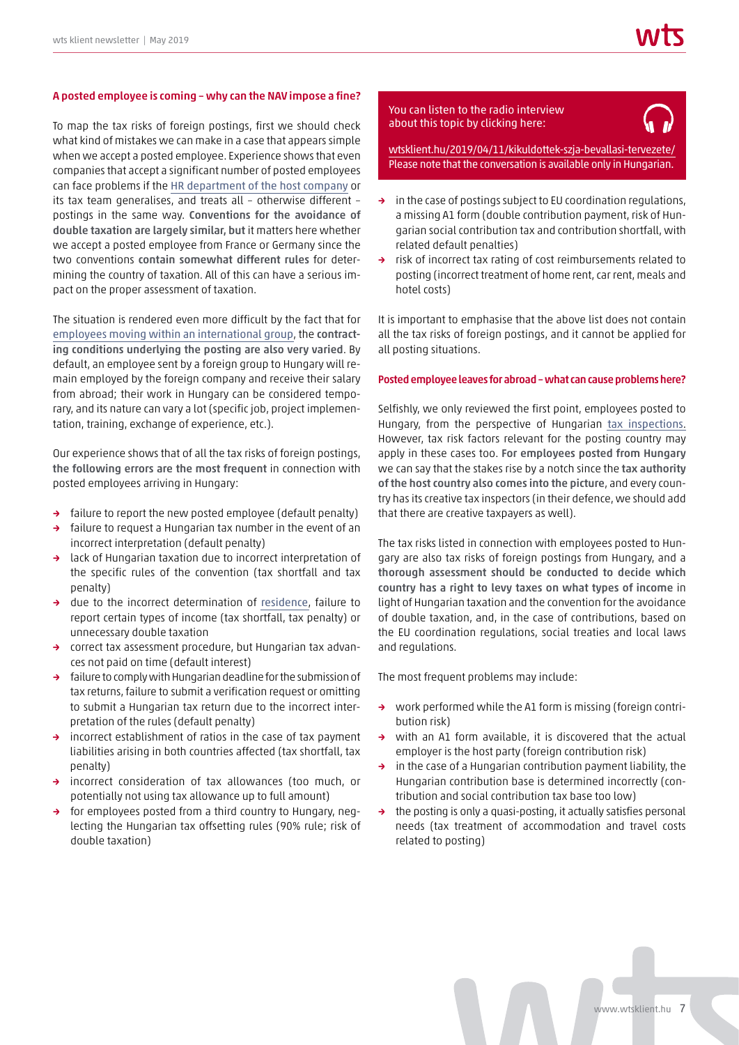#### A posted employee is coming – why can the NAV impose a fine?

To map the tax risks of foreign postings, first we should check what kind of mistakes we can make in a case that appears simple when we accept a posted employee. Experience shows that even companies that accept a significant number of posted employees can face problems if the [HR department of the host company](https://wtsklient.hu/en/2017/02/27/taxation-foreigners-income-hungary/) or its tax team generalises, and treats all – otherwise different – postings in the same way. Conventions for the avoidance of double taxation are largely similar, but it matters here whether we accept a posted employee from France or Germany since the two conventions contain somewhat different rules for determining the country of taxation. All of this can have a serious impact on the proper assessment of taxation.

The situation is rendered even more difficult by the fact that for [employees moving within an international group](https://wtsklient.hu/en/2017/03/27/intercompany-postings/), the contracting conditions underlying the posting are also very varied. By default, an employee sent by a foreign group to Hungary will remain employed by the foreign company and receive their salary from abroad; their work in Hungary can be considered temporary, and its nature can vary a lot (specific job, project implementation, training, exchange of experience, etc.).

Our experience shows that of all the tax risks of foreign postings, the following errors are the most frequent in connection with posted employees arriving in Hungary:

- → failure to report the new posted employee (default penalty)
- failure to request a Hungarian tax number in the event of an incorrect interpretation (default penalty)
- → lack of Hungarian taxation due to incorrect interpretation of the specific rules of the convention (tax shortfall and tax penalty)
- → due to the incorrect determination of [residence](https://wtsklient.hu/en/2017/04/05/definition-tax-residency/), failure to report certain types of income (tax shortfall, tax penalty) or unnecessary double taxation
- → correct tax assessment procedure, but Hungarian tax advances not paid on time (default interest)
- failure to comply with Hungarian deadline for the submission of tax returns, failure to submit a verification request or omitting to submit a Hungarian tax return due to the incorrect interpretation of the rules (default penalty)
- incorrect establishment of ratios in the case of tax payment liabilities arising in both countries affected (tax shortfall, tax penalty)
- → incorrect consideration of tax allowances (too much, or potentially not using tax allowance up to full amount)
- → for employees posted from a third country to Hungary, neglecting the Hungarian tax offsetting rules (90% rule; risk of double taxation)

#### You can listen to the radio interview about this topic by clicking here:



[wtsklient.hu/2019/04/11/kikuldottek-szja-bevallasi-tervezete/](https://wtsklient.hu/2019/04/11/kikuldottek-szja-bevallasi-tervezete/) Please note that the conversation is available only in Hungarian.

- → in the case of postings subject to EU coordination regulations, a missing A1 form (double contribution payment, risk of Hungarian social contribution tax and contribution shortfall, with related default penalties)
- → risk of incorrect tax rating of cost reimbursements related to posting (incorrect treatment of home rent, car rent, meals and hotel costs)

It is important to emphasise that the above list does not contain all the tax risks of foreign postings, and it cannot be applied for all posting situations.

#### Posted employee leaves for abroad – what can cause problems here?

Selfishly, we only reviewed the first point, employees posted to Hungary, from the perspective of Hungarian [tax inspections](https://wtsklient.hu/wp-content/uploads/2018/11/wts-klient-adohid-042017-hu-en.pdf). However, tax risk factors relevant for the posting country may apply in these cases too. For employees posted from Hungary we can say that the stakes rise by a notch since the tax authority of the host country also comes into the picture, and every country has its creative tax inspectors (in their defence, we should add that there are creative taxpayers as well).

The tax risks listed in connection with employees posted to Hungary are also tax risks of foreign postings from Hungary, and a thorough assessment should be conducted to decide which country has a right to levy taxes on what types of income in light of Hungarian taxation and the convention for the avoidance of double taxation, and, in the case of contributions, based on the EU coordination regulations, social treaties and local laws and regulations.

The most frequent problems may include:

- → work performed while the A1 form is missing (foreign contribution risk)
- → with an A1 form available, it is discovered that the actual employer is the host party (foreign contribution risk)
- → in the case of a Hungarian contribution payment liability, the Hungarian contribution base is determined incorrectly (contribution and social contribution tax base too low)
- → the posting is only a quasi-posting, it actually satisfies personal needs (tax treatment of accommodation and travel costs related to posting)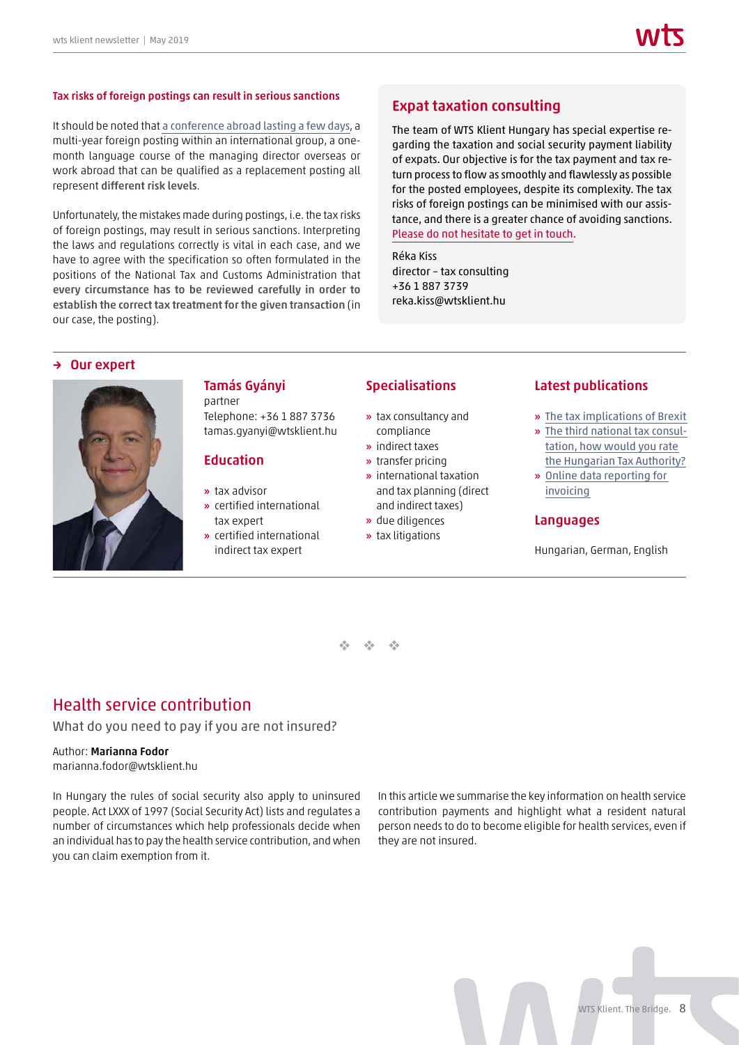#### Tax risks of foreign postings can result in serious sanctions

It should be noted that [a conference abroad lasting a few days](https://wtsklient.hu/en/2018/08/14/foreign-postings/), a multi-year foreign posting within an international group, a onemonth language course of the managing director overseas or work abroad that can be qualified as a replacement posting all represent different risk levels.

Unfortunately, the mistakes made during postings, i.e. the tax risks of foreign postings, may result in serious sanctions. Interpreting the laws and regulations correctly is vital in each case, and we have to agree with the specification so often formulated in the positions of the National Tax and Customs Administration that every circumstance has to be reviewed carefully in order to establish the correct tax treatment for the given transaction (in our case, the posting).

#### Expat taxation consulting

The team of WTS Klient Hungary has special expertise regarding the taxation and social security payment liability of expats. Our objective is for the tax payment and tax return process to flow as smoothly and flawlessly as possible for the posted employees, despite its complexity. The tax risks of foreign postings can be minimised with our assistance, and there is a greater chance of avoiding sanctions. [Please do not hesitate to get in touch.](https://wtsklient.hu/en/services/expat-taxation-consulting-and-compliance-work-tax-returns/)

Réka Kiss director – tax consulting +36 1 887 3739 reka.kiss@wtsklient.hu

#### → Our expert



#### Tamás Gyányi partner

Telephone: +36 1 887 3736 tamas.gyanyi@wtsklient.hu

#### Education

- » tax advisor
- » certified international tax expert
- » certified international indirect tax expert

#### Specialisations

- » tax consultancy and compliance
- » indirect taxes
- » transfer pricing
- » international taxation and tax planning (direct and indirect taxes)
- » due diligences
- » tax litigations

#### Latest publications

- » [The tax implications of Brexit](https://wtsklient.hu/en/2019/02/19/tax-implications-of-brexit/)
- » [The third national tax consul](https://wtsklient.hu/en/2018/10/24/the-third-national-tax-consultation-how-would-you-rate-the-hungarian-tax-authority/)tation, how would you rate the Hungarian Tax Authority?
- » [Online data reporting for](https://wtsklient.hu/en/2018/07/17/online-data-reporting-for-invoicing/)  invoicing

#### Languages

Hungarian, German, English

 $\frac{d^2\phi}{d^2}$  .  $\frac{d^2\phi}{d^2}$  .  $\frac{1}{2}$ 

## Health service contribution

#### What do you need to pay if you are not insured?

#### Author: Marianna Fodor

marianna.fodor@wtsklient.hu

In Hungary the rules of social security also apply to uninsured people. Act LXXX of 1997 (Social Security Act) lists and regulates a number of circumstances which help professionals decide when an individual has to pay the health service contribution, and when you can claim exemption from it.

In this article we summarise the key information on health service contribution payments and highlight what a resident natural person needs to do to become eligible for health services, even if they are not insured.

WTS Klient. The Bridge. 8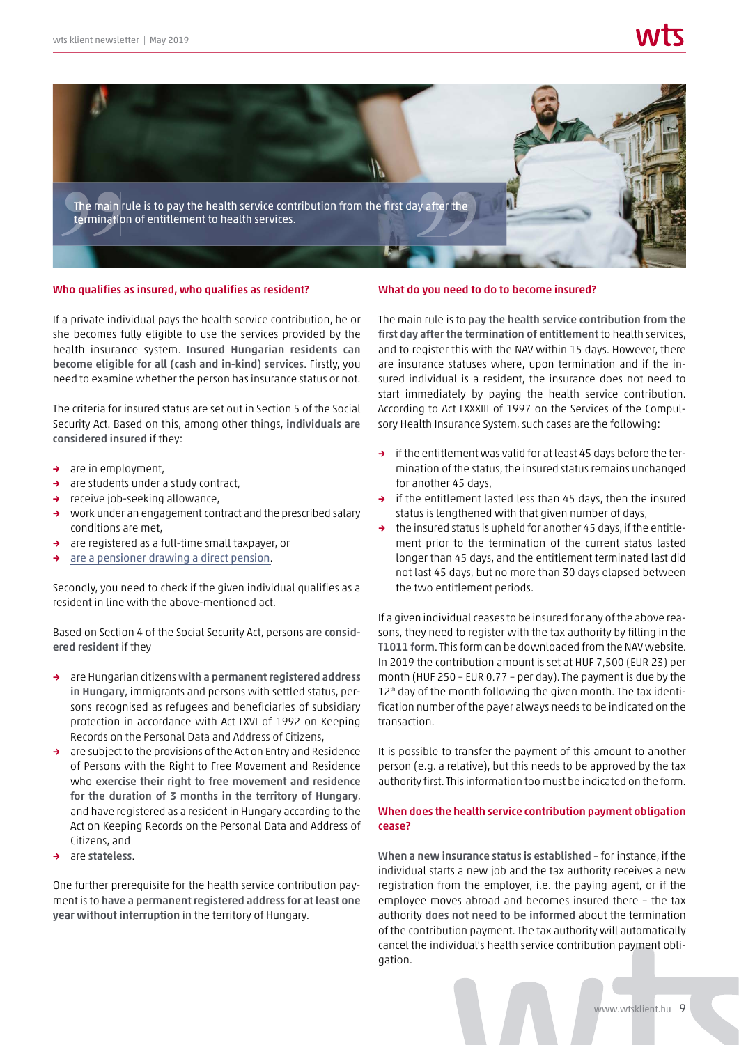

#### Who qualifies as insured, who qualifies as resident?

If a private individual pays the health service contribution, he or she becomes fully eligible to use the services provided by the health insurance system. Insured Hungarian residents can become eligible for all (cash and in-kind) services. Firstly, you need to examine whether the person has insurance status or not.

The criteria for insured status are set out in Section 5 of the Social Security Act. Based on this, among other things, individuals are considered insured if they:

- → are in employment,
- → are students under a study contract,
- → receive job-seeking allowance,
- → work under an engagement contract and the prescribed salary conditions are met,
- → are registered as a full-time small taxpayer, or
- → [are a pensioner drawing a direct pension](https://wtsklient.hu/en/2019/01/22/pensioners-drawing-a-direct-pension/).

Secondly, you need to check if the given individual qualifies as a resident in line with the above-mentioned act.

Based on Section 4 of the Social Security Act, persons are considered resident if they

- → are Hungarian citizens with a permanent registered address in Hungary, immigrants and persons with settled status, persons recognised as refugees and beneficiaries of subsidiary protection in accordance with Act LXVI of 1992 on Keeping Records on the Personal Data and Address of Citizens,
- → are subject to the provisions of the Act on Entry and Residence of Persons with the Right to Free Movement and Residence who exercise their right to free movement and residence for the duration of 3 months in the territory of Hungary, and have registered as a resident in Hungary according to the Act on Keeping Records on the Personal Data and Address of Citizens, and
- are stateless.

One further prerequisite for the health service contribution payment is to have a permanent registered address for at least one year without interruption in the territory of Hungary.

#### What do you need to do to become insured?

The main rule is to pay the health service contribution from the first day after the termination of entitlement to health services, and to register this with the NAV within 15 days. However, there are insurance statuses where, upon termination and if the insured individual is a resident, the insurance does not need to start immediately by paying the health service contribution. According to Act LXXXIII of 1997 on the Services of the Compulsory Health Insurance System, such cases are the following:

- → if the entitlement was valid for at least 45 days before the termination of the status, the insured status remains unchanged for another 45 days,
- → if the entitlement lasted less than 45 days, then the insured status is lengthened with that given number of days,
- → the insured status is upheld for another 45 days, if the entitlement prior to the termination of the current status lasted longer than 45 days, and the entitlement terminated last did not last 45 days, but no more than 30 days elapsed between the two entitlement periods.

If a given individual ceases to be insured for any of the above reasons, they need to register with the tax authority by filling in the T1011 form. This form can be downloaded from the NAV website. In 2019 the contribution amount is set at HUF 7,500 (EUR 23) per month (HUF 250 – EUR 0.77 – per day). The payment is due by the  $12<sup>th</sup>$  day of the month following the given month. The tax identification number of the payer always needs to be indicated on the transaction.

It is possible to transfer the payment of this amount to another person (e.g. a relative), but this needs to be approved by the tax authority first. This information too must be indicated on the form.

#### When does the health service contribution payment obligation cease?

When a new insurance status is established – for instance, if the individual starts a new job and the tax authority receives a new registration from the employer, i.e. the paying agent, or if the employee moves abroad and becomes insured there – the tax authority does not need to be informed about the termination of the contribution payment. The tax authority will automatically cancel the individual's health service contribution payment obligation.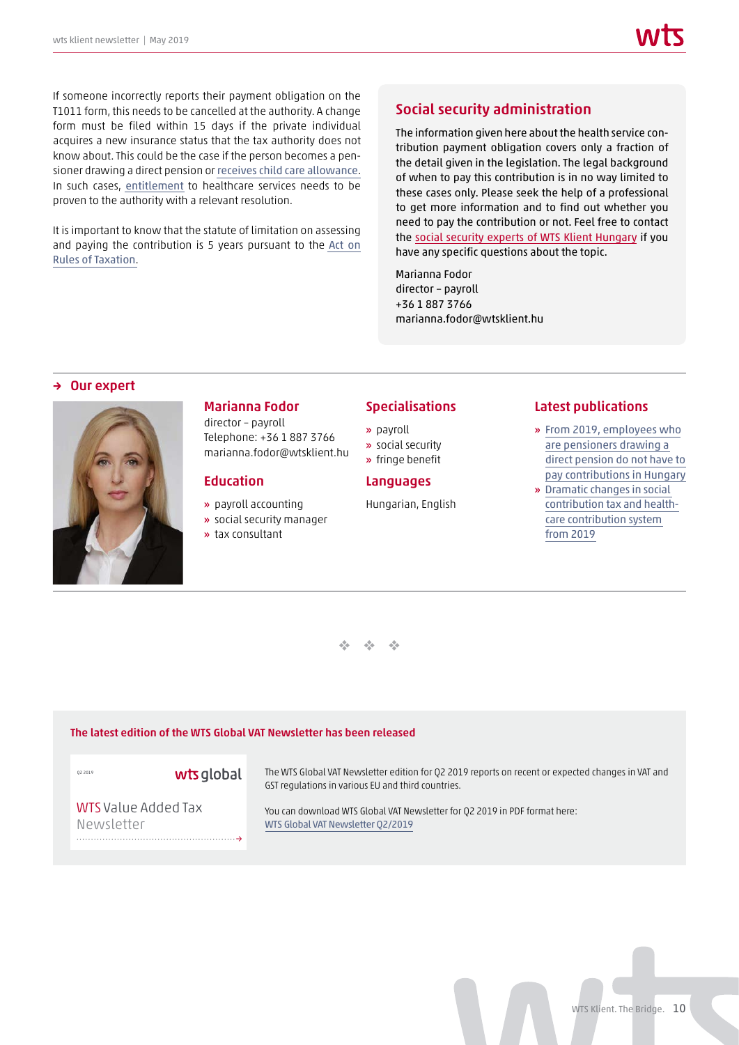If someone incorrectly reports their payment obligation on the T1011 form, this needs to be cancelled at the authority. A change form must be filed within 15 days if the private individual acquires a new insurance status that the tax authority does not know about. This could be the case if the person becomes a pensioner drawing a direct pension or [receives child care allowance](https://wtsklient.hu/en/2019/03/05/family-benefits/). In such cases, [entitlement](https://wtsklient.hu/en/2017/05/09/health-insurance-status-checks/) to healthcare services needs to be proven to the authority with a relevant resolution.

It is important to know that the statute of limitation on assessing and paying the contribution is 5 years pursuant to the [Act on](https://wtsklient.hu/en/2017/09/07/act-on-rules-of-taxation/) [Rules of Taxation](https://wtsklient.hu/en/2017/09/07/act-on-rules-of-taxation/).

## Social security administration

The information given here about the health service contribution payment obligation covers only a fraction of the detail given in the legislation. The legal background of when to pay this contribution is in no way limited to these cases only. Please seek the help of a professional to get more information and to find out whether you need to pay the contribution or not. Feel free to contact the [social security experts of WTS Klient Hungary](https://wtsklient.hu/en/services/social-security-administration/) if you have any specific questions about the topic.

Marianna Fodor director – payroll +36 1 887 3766 marianna.fodor@wtsklient.hu

#### **Our expert**



## Marianna Fodor

director – payroll Telephone: +36 1 887 3766 marianna.fodor@wtsklient.hu

#### Education

- » payroll accounting
- » social security manager
- » tax consultant

#### **Specialisations**

- » payroll
- » social security
- » fringe benefit

#### Languages

Hungarian, English

#### Latest publications

- » From 2019, employees who are pensioners drawing a direct pension do not have to [pay contributions in Hungary](https://wtsklient.hu/en/2019/01/22/pensioners-drawing-a-direct-pension/)
- » Dramatic changes in social [contribution tax and health](https://wtsklient.hu/en/2018/09/04/social-contribution-tax/)care contribution system from 2019

 $\frac{d^2\phi}{d^2}$  .  $\frac{d^2\phi}{d^2}$  .  $\frac{1}{2}$ 

#### [The latest edition of the WTS Global VAT Newsletter has been released](https://wtsklient.hu/wp-content/uploads/2019/05/WTS_VAT_Newsletter_2_2019.pdf)

→

#### Q2 2019

wts global

The WTS Global VAT Newsletter edition for Q2 2019 reports on recent or expected changes in VAT and GST regulations in various EU and third countries.

WTS Value Added Tax Newsletter

You can download WTS Global VAT Newsletter for Q2 2019 in PDF format here: WTS Global VAT Newsletter Q2/2019